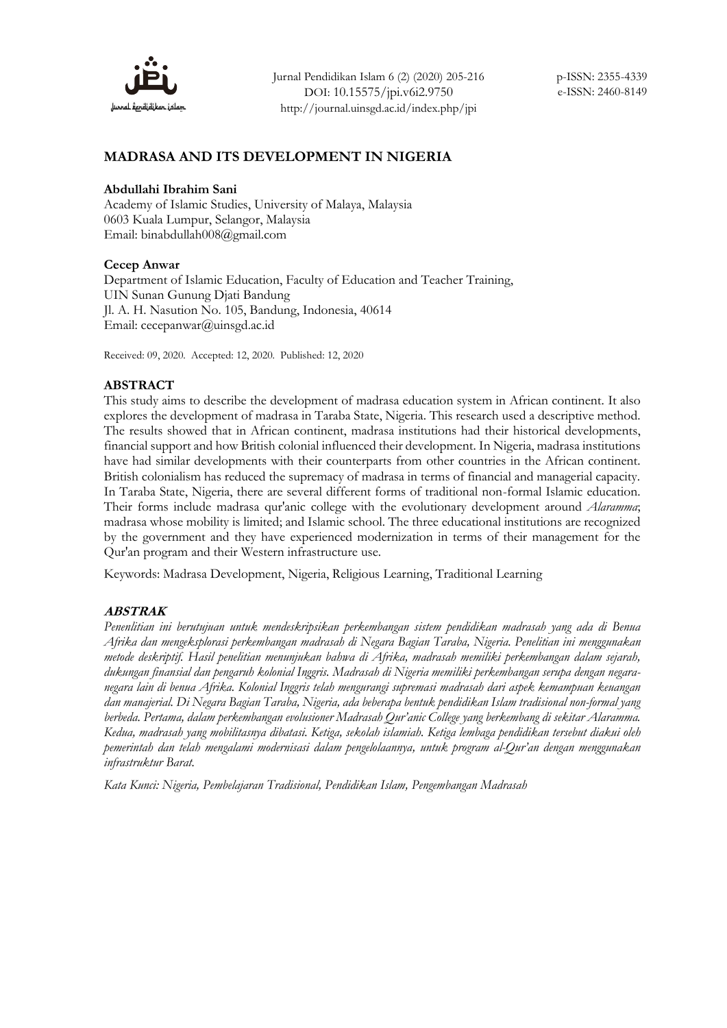

# **MADRASA AND ITS DEVELOPMENT IN NIGERIA**

#### **Abdullahi Ibrahim Sani**

Academy of Islamic Studies, University of Malaya, Malaysia 0603 Kuala Lumpur, Selangor, Malaysia Email: binabdullah008@gmail.com

### **Cecep Anwar**

Department of Islamic Education, Faculty of Education and Teacher Training, UIN Sunan Gunung Djati Bandung Jl. A. H. Nasution No. 105, Bandung, Indonesia, 40614 Email: cecepanwar@uinsgd.ac.id

Received: 09, 2020. Accepted: 12, 2020. Published: 12, 2020

### **ABSTRACT**

This study aims to describe the development of madrasa education system in African continent. It also explores the development of madrasa in Taraba State, Nigeria. This research used a descriptive method. The results showed that in African continent, madrasa institutions had their historical developments, financial support and how British colonial influenced their development. In Nigeria, madrasa institutions have had similar developments with their counterparts from other countries in the African continent. British colonialism has reduced the supremacy of madrasa in terms of financial and managerial capacity. In Taraba State, Nigeria, there are several different forms of traditional non-formal Islamic education. Their forms include madrasa qur'anic college with the evolutionary development around *Alaramma*; madrasa whose mobility is limited; and Islamic school. The three educational institutions are recognized by the government and they have experienced modernization in terms of their management for the Qur'an program and their Western infrastructure use.

Keywords: Madrasa Development, Nigeria, Religious Learning, Traditional Learning

# **ABSTRAK**

*Penenlitian ini berutujuan untuk mendeskripsikan perkembangan sistem pendidikan madrasah yang ada di Benua Afrika dan mengeksplorasi perkembangan madrasah di Negara Bagian Taraba, Nigeria. Penelitian ini menggunakan metode deskriptif. Hasil penelitian menunjukan bahwa di Afrika, madrasah memiliki perkembangan dalam sejarah, dukungan finansial dan pengaruh kolonial Inggris. Madrasah di Nigeria memiliki perkembangan serupa dengan negaranegara lain di benua Afrika. Kolonial Inggris telah mengurangi supremasi madrasah dari aspek kemampuan keuangan dan manajerial. Di Negara Bagian Taraba, Nigeria, ada beberapa bentuk pendidikan Islam tradisional non-formal yang berbeda. Pertama, dalam perkembangan evolusioner Madrasah Qur'anic College yang berkembang di sekitar Alaramma. Kedua, madrasah yang mobilitasnya dibatasi. Ketiga, sekolah islamiah. Ketiga lembaga pendidikan tersebut diakui oleh pemerintah dan telah mengalami modernisasi dalam pengelolaannya, untuk program al-Qur'an dengan menggunakan infrastruktur Barat.*

*Kata Kunci: Nigeria, Pembelajaran Tradisional, Pendidikan Islam, Pengembangan Madrasah*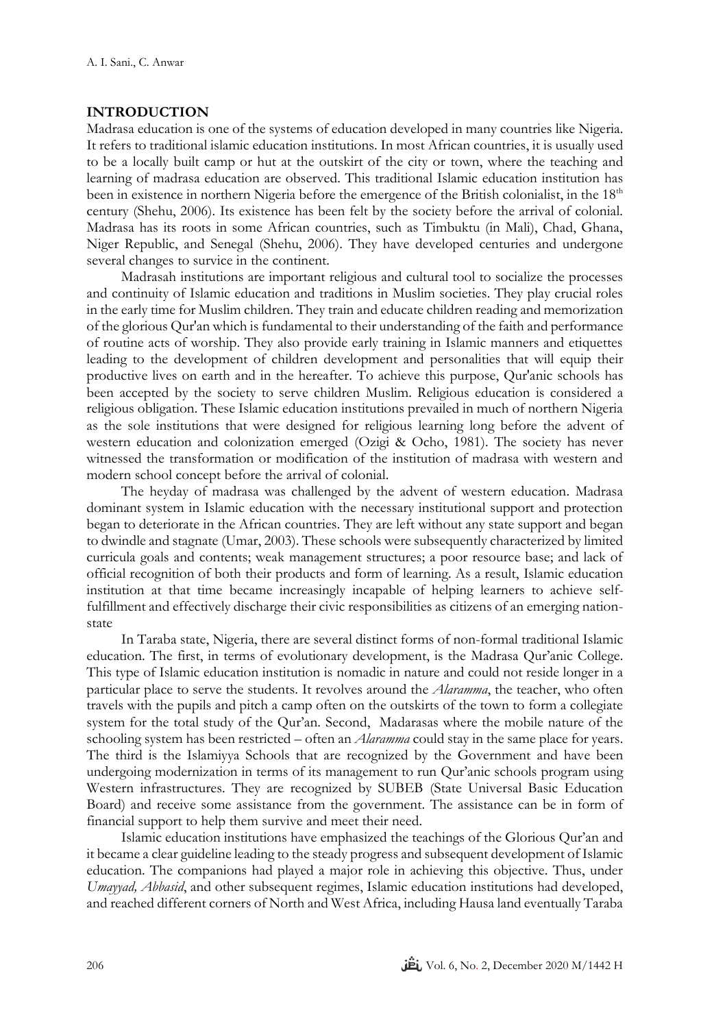# **INTRODUCTION**

Madrasa education is one of the systems of education developed in many countries like Nigeria. It refers to traditional islamic education institutions. In most African countries, it is usually used to be a locally built camp or hut at the outskirt of the city or town, where the teaching and learning of madrasa education are observed. This traditional Islamic education institution has been in existence in northern Nigeria before the emergence of the British colonialist, in the 18<sup>th</sup> century (Shehu, 2006). Its existence has been felt by the society before the arrival of colonial. Madrasa has its roots in some African countries, such as Timbuktu (in Mali), Chad, Ghana, Niger Republic, and Senegal (Shehu, 2006). They have developed centuries and undergone several changes to survice in the continent.

Madrasah institutions are important religious and cultural tool to socialize the processes and continuity of Islamic education and traditions in Muslim societies. They play crucial roles in the early time for Muslim children. They train and educate children reading and memorization of the glorious Qur'an which is fundamental to their understanding of the faith and performance of routine acts of worship. They also provide early training in Islamic manners and etiquettes leading to the development of children development and personalities that will equip their productive lives on earth and in the hereafter. To achieve this purpose, Qur'anic schools has been accepted by the society to serve children Muslim. Religious education is considered a religious obligation. These Islamic education institutions prevailed in much of northern Nigeria as the sole institutions that were designed for religious learning long before the advent of western education and colonization emerged (Ozigi & Ocho, 1981). The society has never witnessed the transformation or modification of the institution of madrasa with western and modern school concept before the arrival of colonial.

The heyday of madrasa was challenged by the advent of western education. Madrasa dominant system in Islamic education with the necessary institutional support and protection began to deteriorate in the African countries. They are left without any state support and began to dwindle and stagnate (Umar, 2003). These schools were subsequently characterized by limited curricula goals and contents; weak management structures; a poor resource base; and lack of official recognition of both their products and form of learning. As a result, Islamic education institution at that time became increasingly incapable of helping learners to achieve selffulfillment and effectively discharge their civic responsibilities as citizens of an emerging nationstate

In Taraba state, Nigeria, there are several distinct forms of non-formal traditional Islamic education. The first, in terms of evolutionary development, is the Madrasa Qur'anic College. This type of Islamic education institution is nomadic in nature and could not reside longer in a particular place to serve the students. It revolves around the *Alaramma*, the teacher, who often travels with the pupils and pitch a camp often on the outskirts of the town to form a collegiate system for the total study of the Qur'an. Second, Madarasas where the mobile nature of the schooling system has been restricted – often an *Alaramma* could stay in the same place for years. The third is the Islamiyya Schools that are recognized by the Government and have been undergoing modernization in terms of its management to run Qur'anic schools program using Western infrastructures. They are recognized by SUBEB (State Universal Basic Education Board) and receive some assistance from the government. The assistance can be in form of financial support to help them survive and meet their need.

Islamic education institutions have emphasized the teachings of the Glorious Qur'an and it became a clear guideline leading to the steady progress and subsequent development of Islamic education. The companions had played a major role in achieving this objective. Thus, under *Umayyad, Abbasid*, and other subsequent regimes, Islamic education institutions had developed, and reached different corners of North and West Africa, including Hausa land eventually Taraba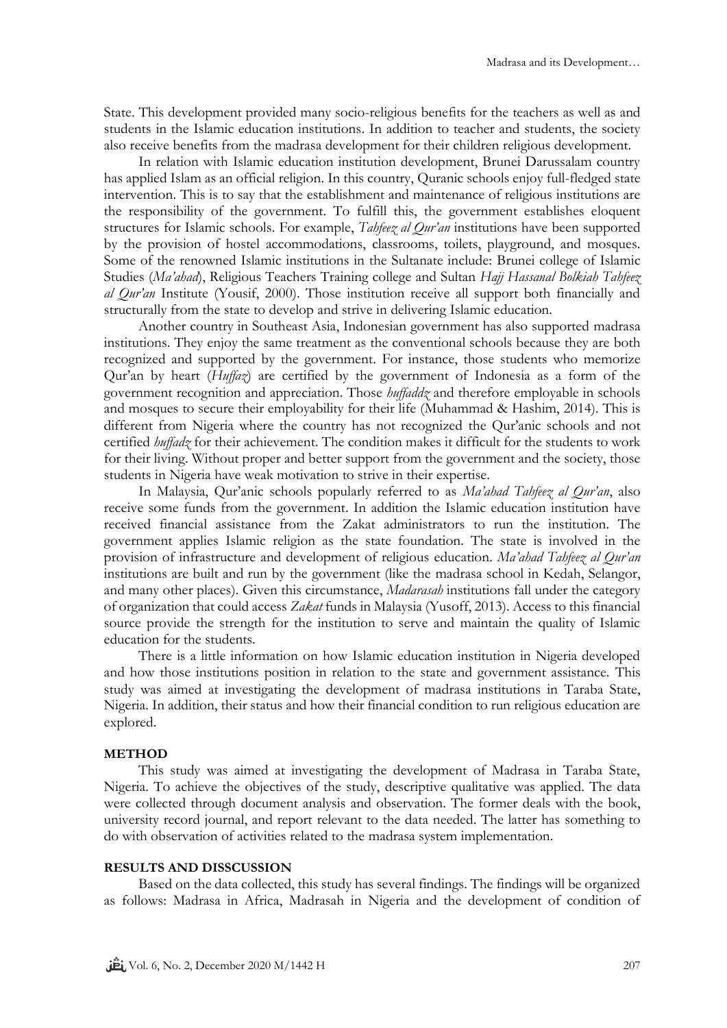State. This development provided many socio-religious benefits for the teachers as well as and students in the Islamic education institutions. In addition to teacher and students, the society also receive benefits from the madrasa development for their children religious development.

In relation with Islamic education institution development, Brunei Darussalam country has applied Islam as an official religion. In this country, Quranic schools enjoy full-fledged state intervention. This is to say that the establishment and maintenance of religious institutions are the responsibility of the government. To fulfill this, the government establishes eloquent structures for Islamic schools. For example, *Tahfeez al Qur'an* institutions have been supported by the provision of hostel accommodations, classrooms, toilets, playground, and mosques. Some of the renowned Islamic institutions in the Sultanate include: Brunei college of Islamic Studies (*Ma'ahad*), Religious Teachers Training college and Sultan *Hajj Hassanal Bolkiah Tahfeez al Qur'an* Institute (Yousif, 2000). Those institution receive all support both financially and structurally from the state to develop and strive in delivering Islamic education.

Another country in Southeast Asia, Indonesian government has also supported madrasa institutions. They enjoy the same treatment as the conventional schools because they are both recognized and supported by the government. For instance, those students who memorize Qur'an by heart (*Huffaz*) are certified by the government of Indonesia as a form of the government recognition and appreciation. Those *huffaddz* and therefore employable in schools and mosques to secure their employability for their life (Muhammad & Hashim, 2014). This is different from Nigeria where the country has not recognized the Qur'anic schools and not certified *huffadz* for their achievement. The condition makes it difficult for the students to work for their living. Without proper and better support from the government and the society, those students in Nigeria have weak motivation to strive in their expertise.

In Malaysia, Qur'anic schools popularly referred to as *Ma'ahad Tahfeez al Qur'an*, also receive some funds from the government. In addition the Islamic education institution have received financial assistance from the Zakat administrators to run the institution. The government applies Islamic religion as the state foundation. The state is involved in the provision of infrastructure and development of religious education. *Ma'ahad Tahfeez al Qur'an* institutions are built and run by the government (like the madrasa school in Kedah, Selangor, and many other places). Given this circumstance, *Madarasah* institutions fall under the category of organization that could access *Zakat* funds in Malaysia (Yusoff, 2013). Access to this financial source provide the strength for the institution to serve and maintain the quality of Islamic education for the students.

There is a little information on how Islamic education institution in Nigeria developed and how those institutions position in relation to the state and government assistance. This study was aimed at investigating the development of madrasa institutions in Taraba State, Nigeria. In addition, their status and how their financial condition to run religious education are explored.

# **METHOD**

This study was aimed at investigating the development of Madrasa in Taraba State, Nigeria. To achieve the objectives of the study, descriptive qualitative was applied. The data were collected through document analysis and observation. The former deals with the book, university record journal, and report relevant to the data needed. The latter has something to do with observation of activities related to the madrasa system implementation.

### **RESULTS AND DISSCUSSION**

Based on the data collected, this study has several findings. The findings will be organized as follows: Madrasa in Africa, Madrasah in Nigeria and the development of condition of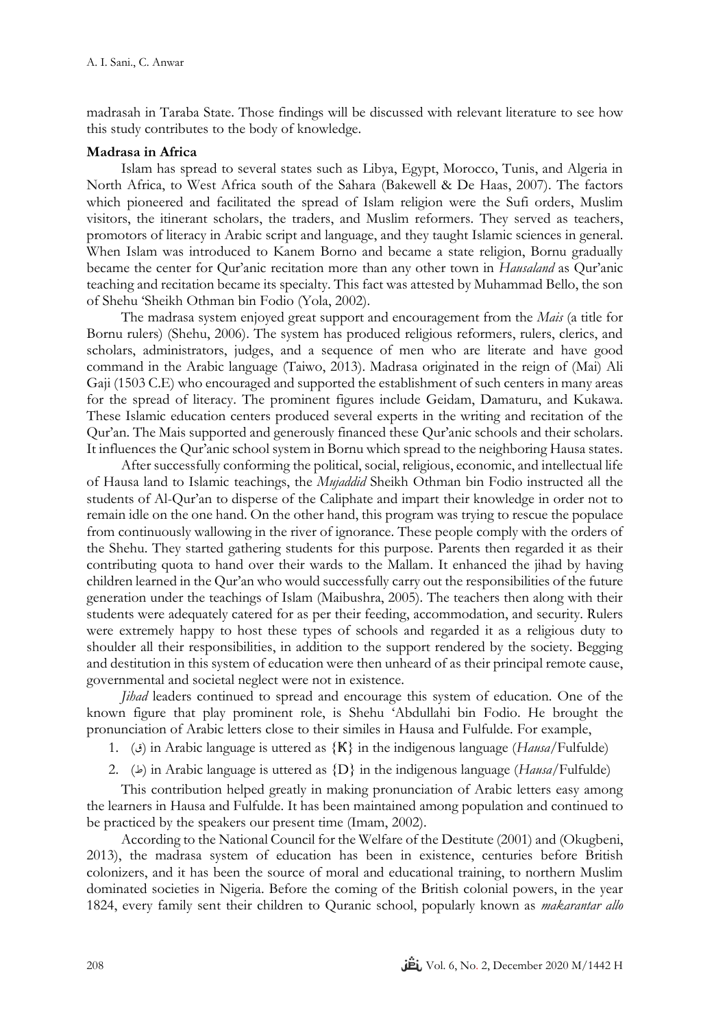madrasah in Taraba State. Those findings will be discussed with relevant literature to see how this study contributes to the body of knowledge.

# **Madrasa in Africa**

Islam has spread to several states such as Libya, Egypt, Morocco, Tunis, and Algeria in North Africa, to West Africa south of the Sahara (Bakewell & De Haas, 2007). The factors which pioneered and facilitated the spread of Islam religion were the Sufi orders, Muslim visitors, the itinerant scholars, the traders, and Muslim reformers. They served as teachers, promotors of literacy in Arabic script and language, and they taught Islamic sciences in general. When Islam was introduced to Kanem Borno and became a state religion, Bornu gradually became the center for Qur'anic recitation more than any other town in *Hausaland* as Qur'anic teaching and recitation became its specialty. This fact was attested by Muhammad Bello, the son of Shehu 'Sheikh Othman bin Fodio (Yola, 2002).

The madrasa system enjoyed great support and encouragement from the *Mais* (a title for Bornu rulers) (Shehu, 2006). The system has produced religious reformers, rulers, clerics, and scholars, administrators, judges, and a sequence of men who are literate and have good command in the Arabic language (Taiwo, 2013). Madrasa originated in the reign of (Mai) Ali Gaji (1503 C.E) who encouraged and supported the establishment of such centers in many areas for the spread of literacy. The prominent figures include Geidam, Damaturu, and Kukawa. These Islamic education centers produced several experts in the writing and recitation of the Qur'an. The Mais supported and generously financed these Qur'anic schools and their scholars. It influences the Qur'anic school system in Bornu which spread to the neighboring Hausa states.

After successfully conforming the political, social, religious, economic, and intellectual life of Hausa land to Islamic teachings, the *Mujaddid* Sheikh Othman bin Fodio instructed all the students of Al-Qur'an to disperse of the Caliphate and impart their knowledge in order not to remain idle on the one hand. On the other hand, this program was trying to rescue the populace from continuously wallowing in the river of ignorance. These people comply with the orders of the Shehu. They started gathering students for this purpose. Parents then regarded it as their contributing quota to hand over their wards to the Mallam. It enhanced the jihad by having children learned in the Qur'an who would successfully carry out the responsibilities of the future generation under the teachings of Islam (Maibushra, 2005). The teachers then along with their students were adequately catered for as per their feeding, accommodation, and security. Rulers were extremely happy to host these types of schools and regarded it as a religious duty to shoulder all their responsibilities, in addition to the support rendered by the society. Begging and destitution in this system of education were then unheard of as their principal remote cause, governmental and societal neglect were not in existence.

*Jihad* leaders continued to spread and encourage this system of education. One of the known figure that play prominent role, is Shehu 'Abdullahi bin Fodio. He brought the pronunciation of Arabic letters close to their similes in Hausa and Fulfulde. For example,

- 1. (*j*) in Arabic language is uttered as {K} in the indigenous language (*Hausa*/Fulfulde)
- 2. ( $\Rightarrow$ ) in Arabic language is uttered as  $\{D\}$  in the indigenous language (*Hausa*/Fulfulde)

This contribution helped greatly in making pronunciation of Arabic letters easy among the learners in Hausa and Fulfulde. It has been maintained among population and continued to be practiced by the speakers our present time (Imam, 2002).

According to the National Council for the Welfare of the Destitute (2001) and (Okugbeni, 2013), the madrasa system of education has been in existence, centuries before British colonizers, and it has been the source of moral and educational training, to northern Muslim dominated societies in Nigeria. Before the coming of the British colonial powers, in the year 1824, every family sent their children to Quranic school, popularly known as *makarantar allo*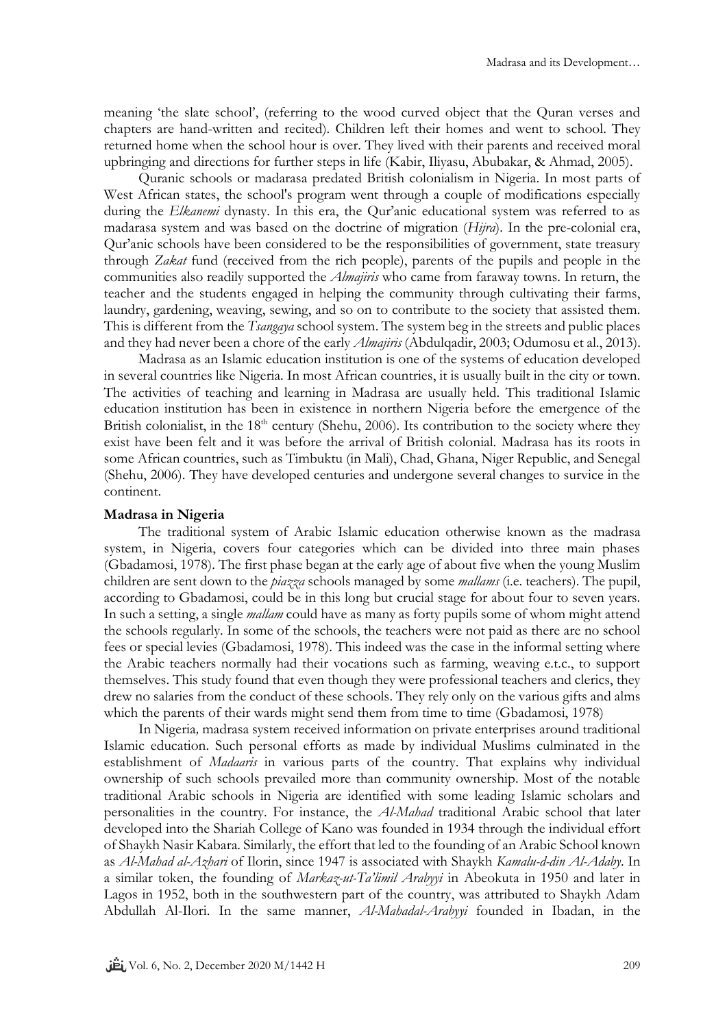meaning 'the slate school', (referring to the wood curved object that the Quran verses and chapters are hand-written and recited). Children left their homes and went to school. They returned home when the school hour is over. They lived with their parents and received moral upbringing and directions for further steps in life (Kabir, Iliyasu, Abubakar, & Ahmad, 2005).

Quranic schools or madarasa predated British colonialism in Nigeria. In most parts of West African states, the school's program went through a couple of modifications especially during the *Elkanemi* dynasty. In this era, the Qur'anic educational system was referred to as madarasa system and was based on the doctrine of migration (*Hijra*). In the pre-colonial era, Qur'anic schools have been considered to be the responsibilities of government, state treasury through *Zakat* fund (received from the rich people), parents of the pupils and people in the communities also readily supported the *Almajiris* who came from faraway towns. In return, the teacher and the students engaged in helping the community through cultivating their farms, laundry, gardening, weaving, sewing, and so on to contribute to the society that assisted them. This is different from the *Tsangaya* school system. The system beg in the streets and public places and they had never been a chore of the early *Almajiris* (Abdulqadir, 2003; Odumosu et al., 2013).

Madrasa as an Islamic education institution is one of the systems of education developed in several countries like Nigeria. In most African countries, it is usually built in the city or town. The activities of teaching and learning in Madrasa are usually held. This traditional Islamic education institution has been in existence in northern Nigeria before the emergence of the British colonialist, in the  $18<sup>th</sup>$  century (Shehu, 2006). Its contribution to the society where they exist have been felt and it was before the arrival of British colonial. Madrasa has its roots in some African countries, such as Timbuktu (in Mali), Chad, Ghana, Niger Republic, and Senegal (Shehu, 2006). They have developed centuries and undergone several changes to survice in the continent.

#### **Madrasa in Nigeria**

The traditional system of Arabic Islamic education otherwise known as the madrasa system, in Nigeria, covers four categories which can be divided into three main phases (Gbadamosi, 1978). The first phase began at the early age of about five when the young Muslim children are sent down to the *piazza* schools managed by some *mallams* (i.e. teachers). The pupil, according to Gbadamosi, could be in this long but crucial stage for about four to seven years. In such a setting, a single *mallam* could have as many as forty pupils some of whom might attend the schools regularly. In some of the schools, the teachers were not paid as there are no school fees or special levies (Gbadamosi, 1978). This indeed was the case in the informal setting where the Arabic teachers normally had their vocations such as farming, weaving e.t.c., to support themselves. This study found that even though they were professional teachers and clerics, they drew no salaries from the conduct of these schools. They rely only on the various gifts and alms which the parents of their wards might send them from time to time (Gbadamosi, 1978)

In Nigeria*,* madrasa system received information on private enterprises around traditional Islamic education. Such personal efforts as made by individual Muslims culminated in the establishment of *Madaaris* in various parts of the country. That explains why individual ownership of such schools prevailed more than community ownership. Most of the notable traditional Arabic schools in Nigeria are identified with some leading Islamic scholars and personalities in the country. For instance, the *Al-Mahad* traditional Arabic school that later developed into the Shariah College of Kano was founded in 1934 through the individual effort of Shaykh Nasir Kabara. Similarly, the effort that led to the founding of an Arabic School known as *Al-Mahad al-Azhari* of Ilorin, since 1947 is associated with Shaykh *Kamalu-d-din Al-Adaby*. In a similar token, the founding of *Markaz-ut-Ta'limil Arabyyi* in Abeokuta in 1950 and later in Lagos in 1952, both in the southwestern part of the country, was attributed to Shaykh Adam Abdullah Al-Ilori. In the same manner, *Al-Mahadal-Arabyyi* founded in Ibadan, in the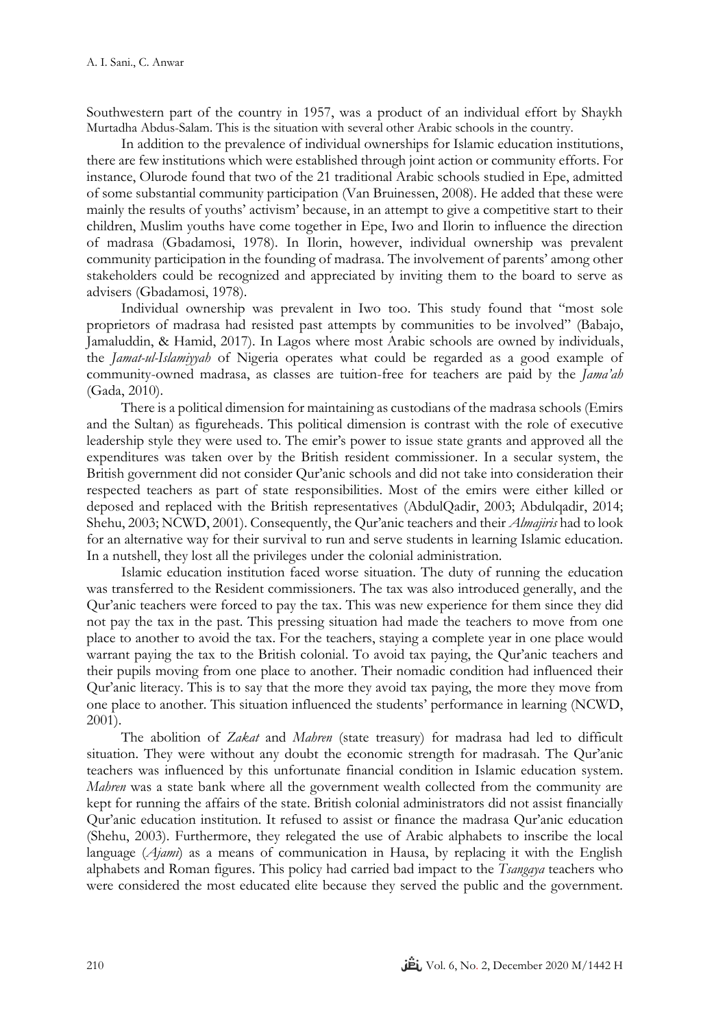Southwestern part of the country in 1957, was a product of an individual effort by Shaykh Murtadha Abdus-Salam. This is the situation with several other Arabic schools in the country.

In addition to the prevalence of individual ownerships for Islamic education institutions, there are few institutions which were established through joint action or community efforts. For instance, Olurode found that two of the 21 traditional Arabic schools studied in Epe, admitted of some substantial community participation (Van Bruinessen, 2008). He added that these were mainly the results of youths' activism' because, in an attempt to give a competitive start to their children, Muslim youths have come together in Epe, Iwo and Ilorin to influence the direction of madrasa (Gbadamosi, 1978). In Ilorin, however, individual ownership was prevalent community participation in the founding of madrasa. The involvement of parents' among other stakeholders could be recognized and appreciated by inviting them to the board to serve as advisers (Gbadamosi, 1978).

Individual ownership was prevalent in Iwo too. This study found that "most sole proprietors of madrasa had resisted past attempts by communities to be involved" (Babajo, Jamaluddin, & Hamid, 2017). In Lagos where most Arabic schools are owned by individuals, the *Jamat-ul-Islamiyyah* of Nigeria operates what could be regarded as a good example of community-owned madrasa, as classes are tuition-free for teachers are paid by the *Jama'ah* (Gada, 2010).

There is a political dimension for maintaining as custodians of the madrasa schools (Emirs and the Sultan) as figureheads. This political dimension is contrast with the role of executive leadership style they were used to. The emir's power to issue state grants and approved all the expenditures was taken over by the British resident commissioner. In a secular system, the British government did not consider Qur'anic schools and did not take into consideration their respected teachers as part of state responsibilities. Most of the emirs were either killed or deposed and replaced with the British representatives (AbdulQadir, 2003; Abdulqadir, 2014; Shehu, 2003; NCWD, 2001). Consequently, the Qur'anic teachers and their *Almajiris* had to look for an alternative way for their survival to run and serve students in learning Islamic education. In a nutshell, they lost all the privileges under the colonial administration.

Islamic education institution faced worse situation. The duty of running the education was transferred to the Resident commissioners. The tax was also introduced generally, and the Qur'anic teachers were forced to pay the tax. This was new experience for them since they did not pay the tax in the past. This pressing situation had made the teachers to move from one place to another to avoid the tax. For the teachers, staying a complete year in one place would warrant paying the tax to the British colonial. To avoid tax paying, the Qur'anic teachers and their pupils moving from one place to another. Their nomadic condition had influenced their Qur'anic literacy. This is to say that the more they avoid tax paying, the more they move from one place to another. This situation influenced the students' performance in learning (NCWD, 2001).

The abolition of *Zakat* and *Mahren* (state treasury) for madrasa had led to difficult situation. They were without any doubt the economic strength for madrasah. The Qur'anic teachers was influenced by this unfortunate financial condition in Islamic education system. *Mahren* was a state bank where all the government wealth collected from the community are kept for running the affairs of the state. British colonial administrators did not assist financially Qur'anic education institution. It refused to assist or finance the madrasa Qur'anic education (Shehu, 2003). Furthermore, they relegated the use of Arabic alphabets to inscribe the local language (*Ajami*) as a means of communication in Hausa, by replacing it with the English alphabets and Roman figures. This policy had carried bad impact to the *Tsangaya* teachers who were considered the most educated elite because they served the public and the government.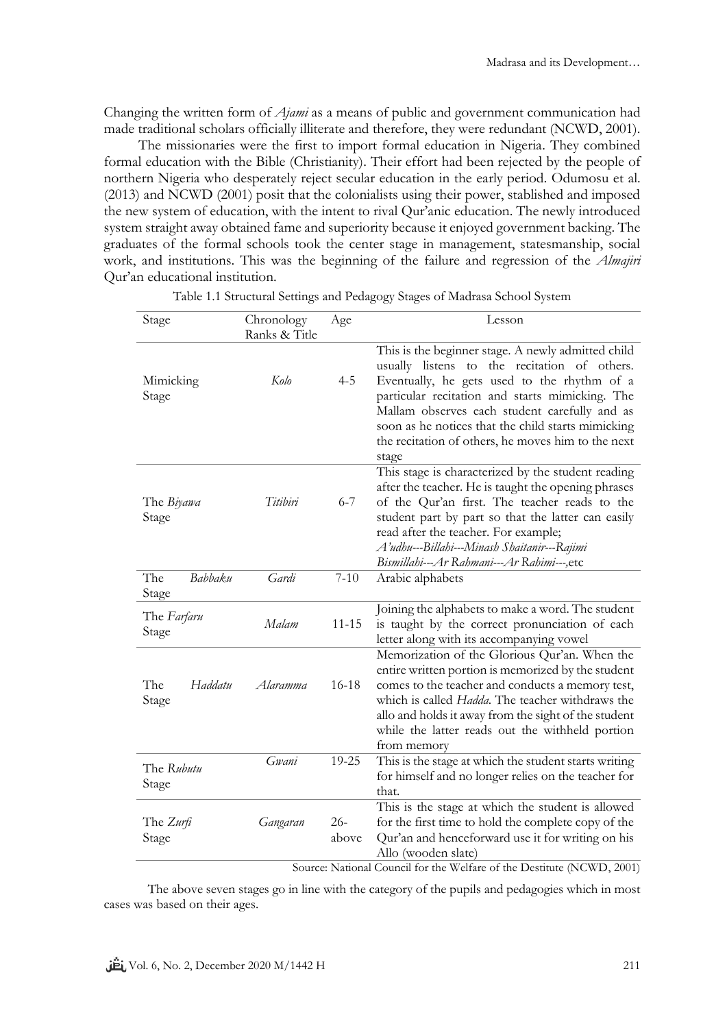Changing the written form of *Ajami* as a means of public and government communication had made traditional scholars officially illiterate and therefore, they were redundant (NCWD, 2001).

The missionaries were the first to import formal education in Nigeria. They combined formal education with the Bible (Christianity). Their effort had been rejected by the people of northern Nigeria who desperately reject secular education in the early period. Odumosu et al. (2013) and NCWD (2001) posit that the colonialists using their power, stablished and imposed the new system of education, with the intent to rival Qur'anic education. The newly introduced system straight away obtained fame and superiority because it enjoyed government backing. The graduates of the formal schools took the center stage in management, statesmanship, social work, and institutions. This was the beginning of the failure and regression of the *Almajiri* Qur'an educational institution.

| Stage                      | Chronology    | Age             | Lesson                                                                                                                                                                                                                                                                                                                                                                     |
|----------------------------|---------------|-----------------|----------------------------------------------------------------------------------------------------------------------------------------------------------------------------------------------------------------------------------------------------------------------------------------------------------------------------------------------------------------------------|
|                            | Ranks & Title |                 |                                                                                                                                                                                                                                                                                                                                                                            |
| Mimicking<br>Stage         | Kolo          | $4 - 5$         | This is the beginner stage. A newly admitted child<br>usually listens to the recitation of others.<br>Eventually, he gets used to the rhythm of a<br>particular recitation and starts mimicking. The<br>Mallam observes each student carefully and as<br>soon as he notices that the child starts mimicking<br>the recitation of others, he moves him to the next<br>stage |
| The <i>Biyawa</i><br>Stage | Titibiri      | $6 - 7$         | This stage is characterized by the student reading<br>after the teacher. He is taught the opening phrases<br>of the Qur'an first. The teacher reads to the<br>student part by part so that the latter can easily<br>read after the teacher. For example;<br>A'udhu---Billahi---Minash Shaitanir---Rajimi<br>Bismillahi---Ar Rahmani---Ar Rahimi---, etc                    |
| The<br>Babbaku<br>Stage    | Gardi         | $7 - 10$        | Arabic alphabets                                                                                                                                                                                                                                                                                                                                                           |
| The Farfaru<br>Stage       | Malam         | $11 - 15$       | Joining the alphabets to make a word. The student<br>is taught by the correct pronunciation of each<br>letter along with its accompanying vowel                                                                                                                                                                                                                            |
| The<br>Haddatu<br>Stage    | Alaramma      | $16 - 18$       | Memorization of the Glorious Qur'an. When the<br>entire written portion is memorized by the student<br>comes to the teacher and conducts a memory test,<br>which is called <i>Hadda</i> . The teacher withdraws the<br>allo and holds it away from the sight of the student<br>while the latter reads out the withheld portion<br>from memory                              |
| The Rubutu<br>Stage        | Gwani         | 19-25           | This is the stage at which the student starts writing<br>for himself and no longer relies on the teacher for<br>that.                                                                                                                                                                                                                                                      |
| The Zurfi<br>Stage         | Gangaran      | $26 -$<br>above | This is the stage at which the student is allowed<br>for the first time to hold the complete copy of the<br>Qur'an and henceforward use it for writing on his<br>Allo (wooden slate)<br>Source: National Council for the Welfare of the Destitute (NCWD, 2001)                                                                                                             |

Table 1.1 Structural Settings and Pedagogy Stages of Madrasa School System

The above seven stages go in line with the category of the pupils and pedagogies which in most cases was based on their ages.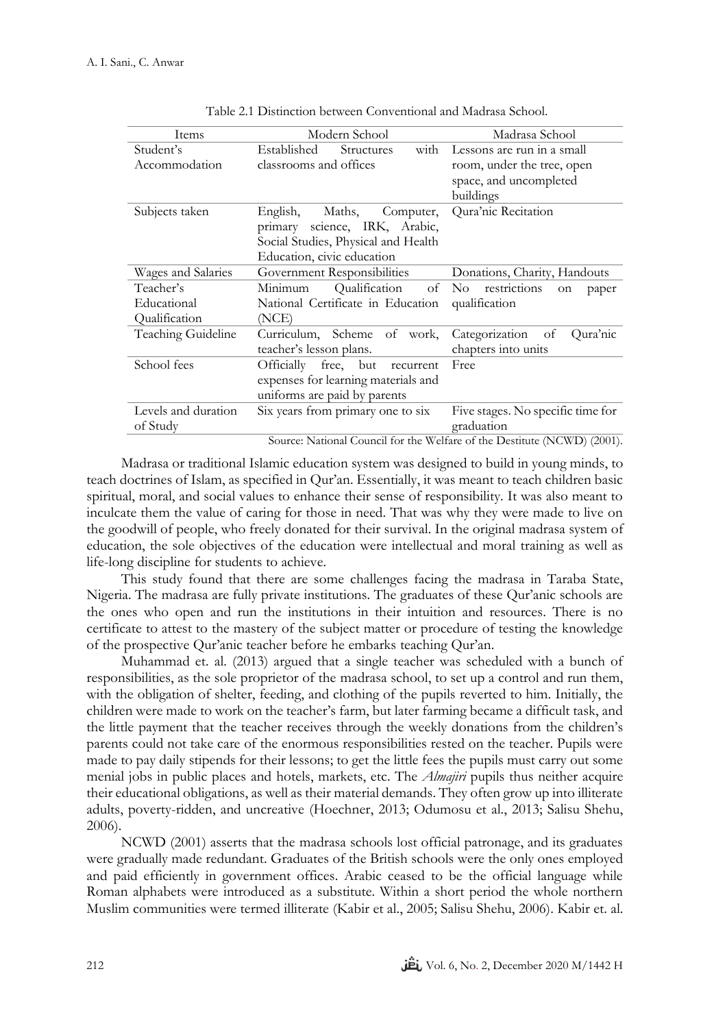| Items                      | Modern School                                                                                                                         | Madrasa School                                                                                  |
|----------------------------|---------------------------------------------------------------------------------------------------------------------------------------|-------------------------------------------------------------------------------------------------|
| Student's<br>Accommodation | Established<br><b>Structures</b><br>with<br>classrooms and offices                                                                    | Lessons are run in a small<br>room, under the tree, open<br>space, and uncompleted<br>buildings |
| Subjects taken             | Computer,<br>English,<br>Maths,<br>primary science, IRK, Arabic,<br>Social Studies, Physical and Health<br>Education, civic education | Qura'nic Recitation                                                                             |
| Wages and Salaries         | Government Responsibilities                                                                                                           | Donations, Charity, Handouts                                                                    |
| Teacher's                  | Qualification of No restrictions<br>Minimum                                                                                           | on<br>paper                                                                                     |
| Educational                | National Certificate in Education                                                                                                     | qualification                                                                                   |
| Qualification              | (NCE)                                                                                                                                 |                                                                                                 |
| Teaching Guideline         | Curriculum, Scheme of work,<br>teacher's lesson plans.                                                                                | Categorization<br>Qura'nic<br>of<br>chapters into units                                         |
| School fees                | Officially free, but<br>recurrent                                                                                                     | Free                                                                                            |
|                            | expenses for learning materials and                                                                                                   |                                                                                                 |
|                            | uniforms are paid by parents                                                                                                          |                                                                                                 |
| Levels and duration        | Six years from primary one to six                                                                                                     | Five stages. No specific time for                                                               |
| of Study                   |                                                                                                                                       | graduation                                                                                      |

Source: National Council for the Welfare of the Destitute (NCWD) (2001).

Madrasa or traditional Islamic education system was designed to build in young minds, to teach doctrines of Islam, as specified in Qur'an. Essentially, it was meant to teach children basic spiritual, moral, and social values to enhance their sense of responsibility. It was also meant to inculcate them the value of caring for those in need. That was why they were made to live on the goodwill of people, who freely donated for their survival. In the original madrasa system of education, the sole objectives of the education were intellectual and moral training as well as life-long discipline for students to achieve.

This study found that there are some challenges facing the madrasa in Taraba State, Nigeria. The madrasa are fully private institutions. The graduates of these Qur'anic schools are the ones who open and run the institutions in their intuition and resources. There is no certificate to attest to the mastery of the subject matter or procedure of testing the knowledge of the prospective Qur'anic teacher before he embarks teaching Qur'an.

Muhammad et. al. (2013) argued that a single teacher was scheduled with a bunch of responsibilities, as the sole proprietor of the madrasa school, to set up a control and run them, with the obligation of shelter, feeding, and clothing of the pupils reverted to him. Initially, the children were made to work on the teacher's farm, but later farming became a difficult task, and the little payment that the teacher receives through the weekly donations from the children's parents could not take care of the enormous responsibilities rested on the teacher. Pupils were made to pay daily stipends for their lessons; to get the little fees the pupils must carry out some menial jobs in public places and hotels, markets, etc. The *Almajiri* pupils thus neither acquire their educational obligations, as well as their material demands. They often grow up into illiterate adults, poverty-ridden, and uncreative (Hoechner, 2013; Odumosu et al., 2013; Salisu Shehu, 2006).

NCWD (2001) asserts that the madrasa schools lost official patronage, and its graduates were gradually made redundant. Graduates of the British schools were the only ones employed and paid efficiently in government offices. Arabic ceased to be the official language while Roman alphabets were introduced as a substitute. Within a short period the whole northern Muslim communities were termed illiterate (Kabir et al., 2005; Salisu Shehu, 2006). Kabir et. al.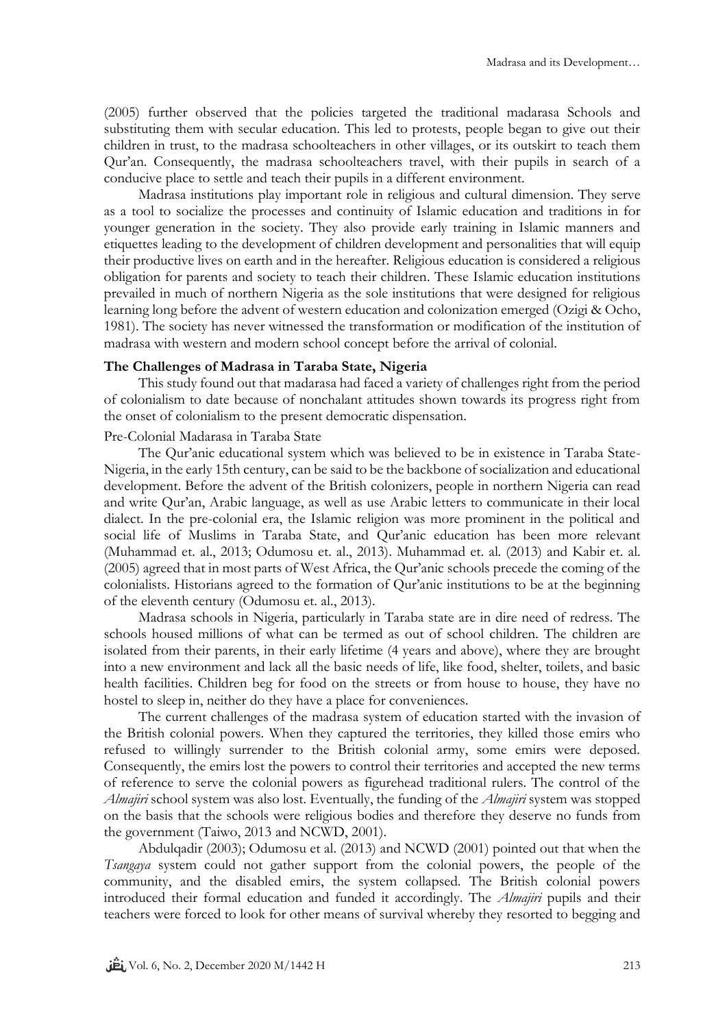(2005) further observed that the policies targeted the traditional madarasa Schools and substituting them with secular education. This led to protests, people began to give out their children in trust, to the madrasa schoolteachers in other villages, or its outskirt to teach them Qur'an. Consequently, the madrasa schoolteachers travel, with their pupils in search of a conducive place to settle and teach their pupils in a different environment.

Madrasa institutions play important role in religious and cultural dimension. They serve as a tool to socialize the processes and continuity of Islamic education and traditions in for younger generation in the society. They also provide early training in Islamic manners and etiquettes leading to the development of children development and personalities that will equip their productive lives on earth and in the hereafter. Religious education is considered a religious obligation for parents and society to teach their children. These Islamic education institutions prevailed in much of northern Nigeria as the sole institutions that were designed for religious learning long before the advent of western education and colonization emerged (Ozigi & Ocho, 1981). The society has never witnessed the transformation or modification of the institution of madrasa with western and modern school concept before the arrival of colonial.

# **The Challenges of Madrasa in Taraba State, Nigeria**

This study found out that madarasa had faced a variety of challenges right from the period of colonialism to date because of nonchalant attitudes shown towards its progress right from the onset of colonialism to the present democratic dispensation.

### Pre-Colonial Madarasa in Taraba State

The Qur'anic educational system which was believed to be in existence in Taraba State-Nigeria, in the early 15th century, can be said to be the backbone of socialization and educational development. Before the advent of the British colonizers, people in northern Nigeria can read and write Qur'an, Arabic language, as well as use Arabic letters to communicate in their local dialect. In the pre-colonial era, the Islamic religion was more prominent in the political and social life of Muslims in Taraba State, and Qur'anic education has been more relevant (Muhammad et. al., 2013; Odumosu et. al., 2013). Muhammad et. al. (2013) and Kabir et. al. (2005) agreed that in most parts of West Africa, the Qur'anic schools precede the coming of the colonialists. Historians agreed to the formation of Qur'anic institutions to be at the beginning of the eleventh century (Odumosu et. al., 2013).

Madrasa schools in Nigeria, particularly in Taraba state are in dire need of redress. The schools housed millions of what can be termed as out of school children. The children are isolated from their parents, in their early lifetime (4 years and above), where they are brought into a new environment and lack all the basic needs of life, like food, shelter, toilets, and basic health facilities. Children beg for food on the streets or from house to house, they have no hostel to sleep in, neither do they have a place for conveniences.

The current challenges of the madrasa system of education started with the invasion of the British colonial powers. When they captured the territories, they killed those emirs who refused to willingly surrender to the British colonial army, some emirs were deposed. Consequently, the emirs lost the powers to control their territories and accepted the new terms of reference to serve the colonial powers as figurehead traditional rulers. The control of the *Almajiri* school system was also lost. Eventually, the funding of the *Almajiri* system was stopped on the basis that the schools were religious bodies and therefore they deserve no funds from the government (Taiwo, 2013 and NCWD, 2001).

Abdulqadir (2003); Odumosu et al. (2013) and NCWD (2001) pointed out that when the *Tsangaya* system could not gather support from the colonial powers, the people of the community, and the disabled emirs, the system collapsed. The British colonial powers introduced their formal education and funded it accordingly. The *Almajiri* pupils and their teachers were forced to look for other means of survival whereby they resorted to begging and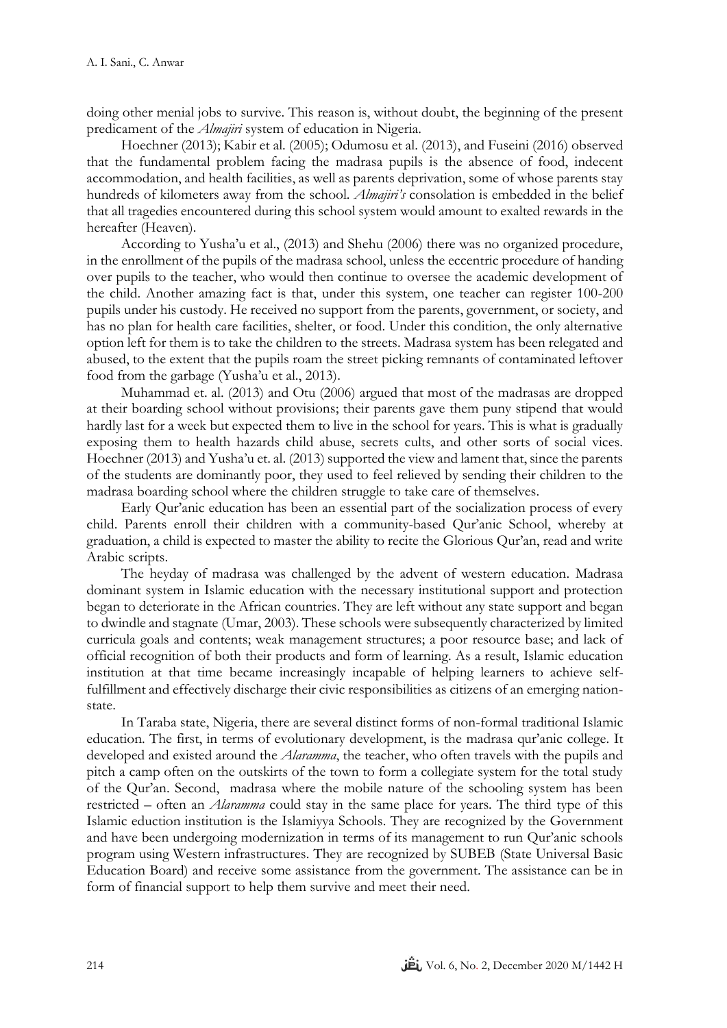doing other menial jobs to survive. This reason is, without doubt, the beginning of the present predicament of the *Almajiri* system of education in Nigeria.

Hoechner (2013); Kabir et al. (2005); Odumosu et al. (2013), and Fuseini (2016) observed that the fundamental problem facing the madrasa pupils is the absence of food, indecent accommodation, and health facilities, as well as parents deprivation, some of whose parents stay hundreds of kilometers away from the school. *Almajiri's* consolation is embedded in the belief that all tragedies encountered during this school system would amount to exalted rewards in the hereafter (Heaven).

According to Yusha'u et al., (2013) and Shehu (2006) there was no organized procedure, in the enrollment of the pupils of the madrasa school, unless the eccentric procedure of handing over pupils to the teacher, who would then continue to oversee the academic development of the child. Another amazing fact is that, under this system, one teacher can register 100-200 pupils under his custody. He received no support from the parents, government, or society, and has no plan for health care facilities, shelter, or food. Under this condition, the only alternative option left for them is to take the children to the streets. Madrasa system has been relegated and abused, to the extent that the pupils roam the street picking remnants of contaminated leftover food from the garbage (Yusha'u et al., 2013).

Muhammad et. al. (2013) and Otu (2006) argued that most of the madrasas are dropped at their boarding school without provisions; their parents gave them puny stipend that would hardly last for a week but expected them to live in the school for years. This is what is gradually exposing them to health hazards child abuse, secrets cults, and other sorts of social vices. Hoechner (2013) and Yusha'u et. al. (2013) supported the view and lament that, since the parents of the students are dominantly poor, they used to feel relieved by sending their children to the madrasa boarding school where the children struggle to take care of themselves.

Early Qur'anic education has been an essential part of the socialization process of every child. Parents enroll their children with a community-based Qur'anic School, whereby at graduation, a child is expected to master the ability to recite the Glorious Qur'an, read and write Arabic scripts.

The heyday of madrasa was challenged by the advent of western education. Madrasa dominant system in Islamic education with the necessary institutional support and protection began to deteriorate in the African countries. They are left without any state support and began to dwindle and stagnate (Umar, 2003). These schools were subsequently characterized by limited curricula goals and contents; weak management structures; a poor resource base; and lack of official recognition of both their products and form of learning. As a result, Islamic education institution at that time became increasingly incapable of helping learners to achieve selffulfillment and effectively discharge their civic responsibilities as citizens of an emerging nationstate.

In Taraba state, Nigeria, there are several distinct forms of non-formal traditional Islamic education. The first, in terms of evolutionary development, is the madrasa qur'anic college. It developed and existed around the *Alaramma*, the teacher, who often travels with the pupils and pitch a camp often on the outskirts of the town to form a collegiate system for the total study of the Qur'an. Second, madrasa where the mobile nature of the schooling system has been restricted – often an *Alaramma* could stay in the same place for years. The third type of this Islamic eduction institution is the Islamiyya Schools. They are recognized by the Government and have been undergoing modernization in terms of its management to run Qur'anic schools program using Western infrastructures. They are recognized by SUBEB (State Universal Basic Education Board) and receive some assistance from the government. The assistance can be in form of financial support to help them survive and meet their need.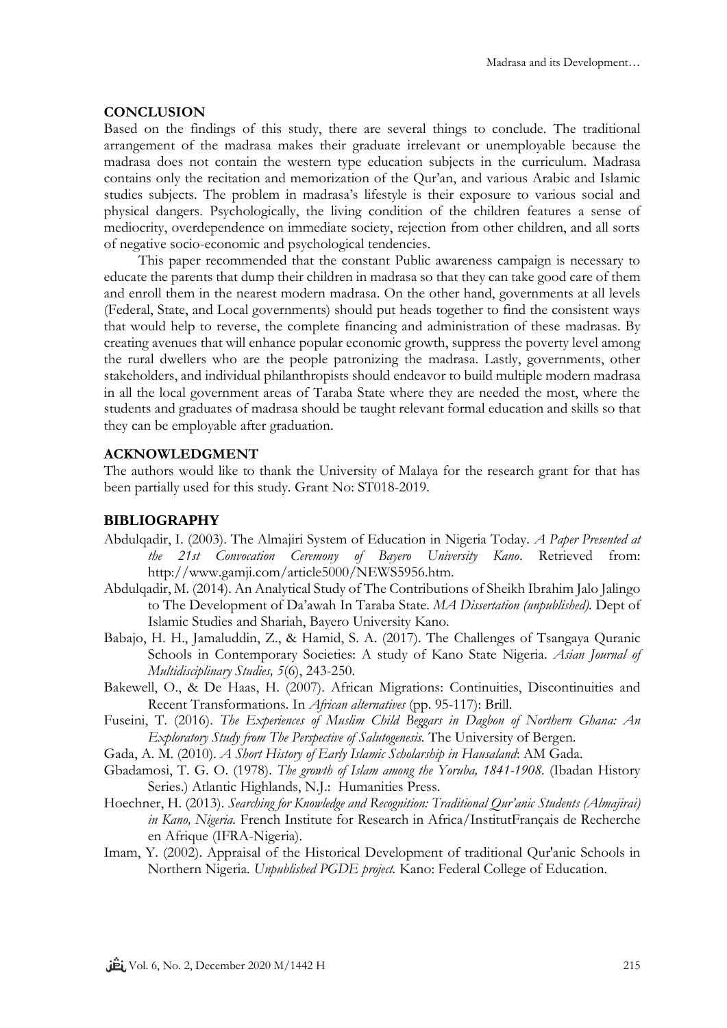#### **CONCLUSION**

Based on the findings of this study, there are several things to conclude. The traditional arrangement of the madrasa makes their graduate irrelevant or unemployable because the madrasa does not contain the western type education subjects in the curriculum. Madrasa contains only the recitation and memorization of the Qur'an, and various Arabic and Islamic studies subjects. The problem in madrasa's lifestyle is their exposure to various social and physical dangers. Psychologically, the living condition of the children features a sense of mediocrity, overdependence on immediate society, rejection from other children, and all sorts of negative socio-economic and psychological tendencies.

This paper recommended that the constant Public awareness campaign is necessary to educate the parents that dump their children in madrasa so that they can take good care of them and enroll them in the nearest modern madrasa. On the other hand, governments at all levels (Federal, State, and Local governments) should put heads together to find the consistent ways that would help to reverse, the complete financing and administration of these madrasas. By creating avenues that will enhance popular economic growth, suppress the poverty level among the rural dwellers who are the people patronizing the madrasa. Lastly, governments, other stakeholders, and individual philanthropists should endeavor to build multiple modern madrasa in all the local government areas of Taraba State where they are needed the most, where the students and graduates of madrasa should be taught relevant formal education and skills so that they can be employable after graduation.

# **ACKNOWLEDGMENT**

The authors would like to thank the University of Malaya for the research grant for that has been partially used for this study. Grant No: ST018-2019.

# **BIBLIOGRAPHY**

- Abdulqadir, I. (2003). The Almajiri System of Education in Nigeria Today. *A Paper Presented at the 21st Convocation Ceremony of Bayero University Kano*. Retrieved from: http://www.gamji.com/article5000/NEWS5956.htm.
- Abdulqadir, M. (2014). An Analytical Study of The Contributions of Sheikh Ibrahim Jalo Jalingo to The Development of Da'awah In Taraba State. *MA Dissertation (unpublished).* Dept of Islamic Studies and Shariah, Bayero University Kano.
- Babajo, H. H., Jamaluddin, Z., & Hamid, S. A. (2017). The Challenges of Tsangaya Quranic Schools in Contemporary Societies: A study of Kano State Nigeria. *Asian Journal of Multidisciplinary Studies, 5*(6), 243-250.
- Bakewell, O., & De Haas, H. (2007). African Migrations: Continuities, Discontinuities and Recent Transformations. In *African alternatives* (pp. 95-117): Brill.
- Fuseini, T. (2016). *The Experiences of Muslim Child Beggars in Dagbon of Northern Ghana: An Exploratory Study from The Perspective of Salutogenesis.* The University of Bergen.
- Gada, A. M. (2010). *A Short History of Early Islamic Scholarship in Hausaland*: AM Gada.
- Gbadamosi, T. G. O. (1978). *The growth of Islam among the Yoruba, 1841-1908.* (Ibadan History Series.) Atlantic Highlands, N.J.: Humanities Press.
- Hoechner, H. (2013). *Searching for Knowledge and Recognition: Traditional Qur'anic Students (Almajirai) in Kano, Nigeria.* French Institute for Research in Africa/InstitutFrançais de Recherche en Afrique (IFRA-Nigeria).
- Imam, Y. (2002). Appraisal of the Historical Development of traditional Qur'anic Schools in Northern Nigeria. *Unpublished PGDE project.* Kano: Federal College of Education.